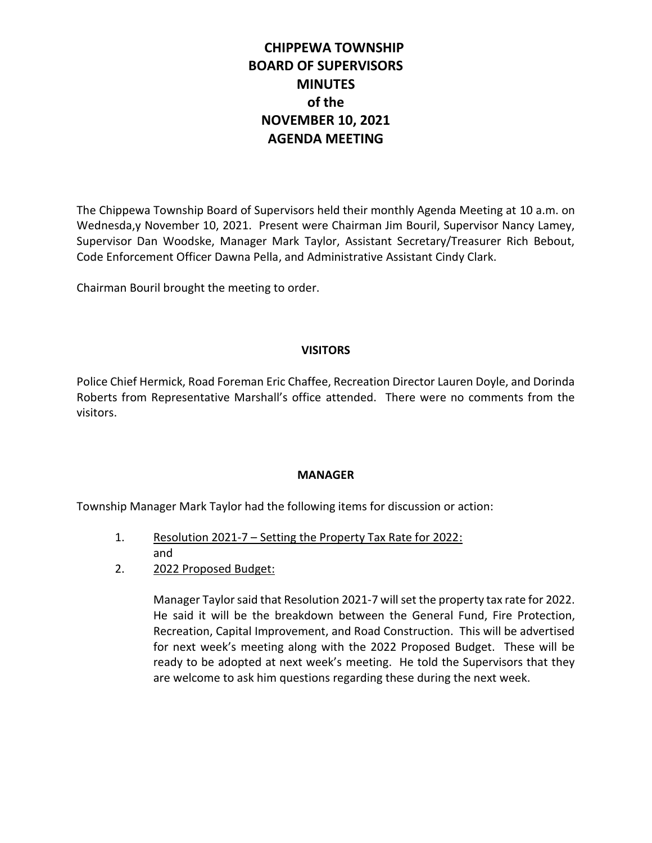# **CHIPPEWA TOWNSHIP BOARD OF SUPERVISORS MINUTES of the NOVEMBER 10, 2021 AGENDA MEETING**

The Chippewa Township Board of Supervisors held their monthly Agenda Meeting at 10 a.m. on Wednesda,y November 10, 2021. Present were Chairman Jim Bouril, Supervisor Nancy Lamey, Supervisor Dan Woodske, Manager Mark Taylor, Assistant Secretary/Treasurer Rich Bebout, Code Enforcement Officer Dawna Pella, and Administrative Assistant Cindy Clark.

Chairman Bouril brought the meeting to order.

## **VISITORS**

Police Chief Hermick, Road Foreman Eric Chaffee, Recreation Director Lauren Doyle, and Dorinda Roberts from Representative Marshall's office attended. There were no comments from the visitors.

## **MANAGER**

Township Manager Mark Taylor had the following items for discussion or action:

- 1. Resolution 2021-7 Setting the Property Tax Rate for 2022: and
- 2. 2022 Proposed Budget:

Manager Taylor said that Resolution 2021-7 will set the property tax rate for 2022. He said it will be the breakdown between the General Fund, Fire Protection, Recreation, Capital Improvement, and Road Construction. This will be advertised for next week's meeting along with the 2022 Proposed Budget. These will be ready to be adopted at next week's meeting. He told the Supervisors that they are welcome to ask him questions regarding these during the next week.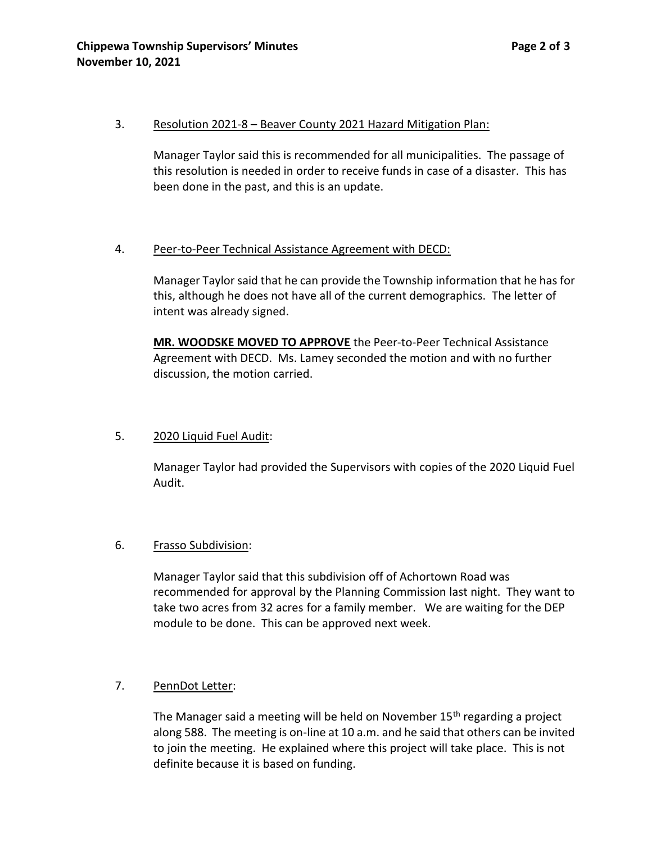### 3. Resolution 2021-8 – Beaver County 2021 Hazard Mitigation Plan:

Manager Taylor said this is recommended for all municipalities. The passage of this resolution is needed in order to receive funds in case of a disaster. This has been done in the past, and this is an update.

### 4. Peer-to-Peer Technical Assistance Agreement with DECD:

Manager Taylor said that he can provide the Township information that he has for this, although he does not have all of the current demographics. The letter of intent was already signed.

**MR. WOODSKE MOVED TO APPROVE** the Peer-to-Peer Technical Assistance Agreement with DECD. Ms. Lamey seconded the motion and with no further discussion, the motion carried.

### 5. 2020 Liquid Fuel Audit:

Manager Taylor had provided the Supervisors with copies of the 2020 Liquid Fuel Audit.

### 6. Frasso Subdivision:

Manager Taylor said that this subdivision off of Achortown Road was recommended for approval by the Planning Commission last night. They want to take two acres from 32 acres for a family member. We are waiting for the DEP module to be done. This can be approved next week.

### 7. PennDot Letter:

The Manager said a meeting will be held on November 15<sup>th</sup> regarding a project along 588. The meeting is on-line at 10 a.m. and he said that others can be invited to join the meeting. He explained where this project will take place. This is not definite because it is based on funding.